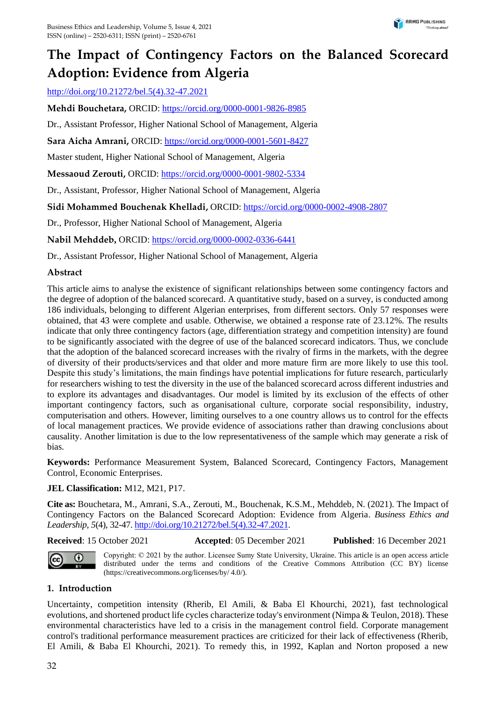# **The Impact of Contingency Factors on the Balanced Scorecard Adoption: Evidence from Algeria**

[http://doi.org/10.21272/bel.5\(4\).32-47.2021](http://doi.org/10.21272/bel.5(4).32-47.2021)

**Mehdi Bouchetara,** ORCID[: https://orcid.org/0000-0001-9826-8985](https://orcid.org/0000-0001-9826-8985)

Dr., Assistant Professor, Higher National School of Management, Algeria

**Sara Aicha Amrani,** ORCID:<https://orcid.org/0000-0001-5601-8427>

Master student, Higher National School of Management, Algeria

**Messaoud Zerouti,** ORCID:<https://orcid.org/0000-0001-9802-5334>

Dr., Assistant, Professor, Higher National School of Management, Algeria

**Sidi Mohammed Bouchenak Khelladi,** ORCID:<https://orcid.org/0000-0002-4908-2807>

Dr., Professor, Higher National School of Management, Algeria

**Nabil Mehddeb,** ORCID:<https://orcid.org/0000-0002-0336-6441>

Dr., Assistant Professor, Higher National School of Management, Algeria

## **Abstract**

This article aims to analyse the existence of significant relationships between some contingency factors and the degree of adoption of the balanced scorecard. A quantitative study, based on a survey, is conducted among 186 individuals, belonging to different Algerian enterprises, from different sectors. Only 57 responses were obtained, that 43 were complete and usable. Otherwise, we obtained a response rate of 23.12%. The results indicate that only three contingency factors (age, differentiation strategy and competition intensity) are found to be significantly associated with the degree of use of the balanced scorecard indicators. Thus, we conclude that the adoption of the balanced scorecard increases with the rivalry of firms in the markets, with the degree of diversity of their products/services and that older and more mature firm are more likely to use this tool. Despite this study's limitations, the main findings have potential implications for future research, particularly for researchers wishing to test the diversity in the use of the balanced scorecard across different industries and to explore its advantages and disadvantages. Our model is limited by its exclusion of the effects of other important contingency factors, such as organisational culture, corporate social responsibility, industry, computerisation and others. However, limiting ourselves to a one country allows us to control for the effects of local management practices. We provide evidence of associations rather than drawing conclusions about causality. Another limitation is due to the low representativeness of the sample which may generate a risk of bias.

**Keywords:** Performance Measurement System, Balanced Scorecard, Contingency Factors, Management Control, Economic Enterprises.

#### **JEL Classification:** M12, M21, P17.

**Cite as:** Bouchetara, M., Amrani, S.A., Zerouti, M., Bouchenak, K.S.M., Mehddeb, N. (2021). The Impact of Contingency Factors on the Balanced Scorecard Adoption: Evidence from Algeria. *Business Ethics and Leadership, 5*(4), 32-47[. http://doi.org/10.21272/bel.5\(4\).32-47.2021.](http://doi.org/10.21272/bel.5(4).32-47.2021)

**Received**: 15 October 2021 **Accepted**: 05 December 2021 **Published**: 16 December 2021



Copyright: © 2021 by the author. Licensee Sumy State University, Ukraine. This article is an open access article distributed under the terms and conditions of the Creative Commons Attribution (CC BY) license (https://creativecommons.org/licenses/by/ 4.0/).

## **1. Introduction**

Uncertainty, competition intensity (Rherib, El Amili, & Baba El Khourchi, 2021), fast technological evolutions, and shortened product life cycles characterize today's environment (Nimpa & Teulon, 2018). These environmental characteristics have led to a crisis in the management control field. Corporate management control's traditional performance measurement practices are criticized for their lack of effectiveness (Rherib, El Amili, & Baba El Khourchi, 2021). To remedy this, in 1992, Kaplan and Norton proposed a new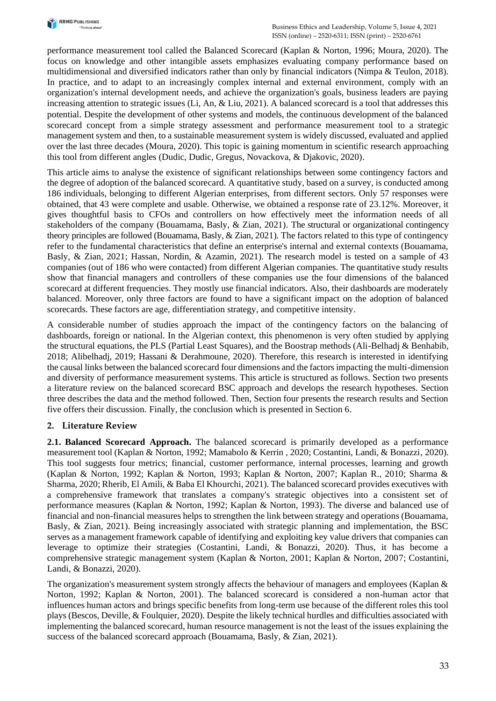

performance measurement tool called the Balanced Scorecard (Kaplan & Norton, 1996; Moura, 2020). The focus on knowledge and other intangible assets emphasizes evaluating company performance based on multidimensional and diversified indicators rather than only by financial indicators (Nimpa & Teulon, 2018). In practice, and to adapt to an increasingly complex internal and external environment, comply with an organization's internal development needs, and achieve the organization's goals, business leaders are paying increasing attention to strategic issues (Li, An, & Liu, 2021). A balanced scorecard is a tool that addresses this potential. Despite the development of other systems and models, the continuous development of the balanced scorecard concept from a simple strategy assessment and performance measurement tool to a strategic management system and then, to a sustainable measurement system is widely discussed, evaluated and applied over the last three decades (Moura, 2020). This topic is gaining momentum in scientific research approaching this tool from different angles (Dudic, Dudic, Gregus, Novackova, & Djakovic, 2020).

This article aims to analyse the existence of significant relationships between some contingency factors and the degree of adoption of the balanced scorecard. A quantitative study, based on a survey, is conducted among 186 individuals, belonging to different Algerian enterprises, from different sectors. Only 57 responses were obtained, that 43 were complete and usable. Otherwise, we obtained a response rate of 23.12%. Moreover, it gives thoughtful basis to CFOs and controllers on how effectively meet the information needs of all stakeholders of the company (Bouamama, Basly, & Zian, 2021). The structural or organizational contingency theory principles are followed (Bouamama, Basly, & Zian, 2021). The factors related to this type of contingency refer to the fundamental characteristics that define an enterprise's internal and external contexts (Bouamama, Basly, & Zian, 2021; Hassan, Nordin, & Azamin, 2021). The research model is tested on a sample of 43 companies (out of 186 who were contacted) from different Algerian companies. The quantitative study results show that financial managers and controllers of these companies use the four dimensions of the balanced scorecard at different frequencies. They mostly use financial indicators. Also, their dashboards are moderately balanced. Moreover, only three factors are found to have a significant impact on the adoption of balanced scorecards. These factors are age, differentiation strategy, and competitive intensity.

A considerable number of studies approach the impact of the contingency factors on the balancing of dashboards, foreign or national. In the Algerian context, this phenomenon is very often studied by applying the structural equations, the PLS (Partial Least Squares), and the Boostrap methods (Ali-Belhadj & Benhabib, 2018; Alibelhadj, 2019; Hassani & Derahmoune, 2020). Therefore, this research is interested in identifying the causal links between the balanced scorecard four dimensions and the factors impacting the multi-dimension and diversity of performance measurement systems. This article is structured as follows. Section two presents a literature review on the balanced scorecard BSC approach and develops the research hypotheses. Section three describes the data and the method followed. Then, Section four presents the research results and Section five offers their discussion. Finally, the conclusion which is presented in Section 6.

## **2. Literature Review**

**2.1. Balanced Scorecard Approach.** The balanced scorecard is primarily developed as a performance measurement tool (Kaplan & Norton, 1992; Mamabolo & Kerrin , 2020; Costantini, Landi, & Bonazzi, 2020). This tool suggests four metrics; financial, customer performance, internal processes, learning and growth (Kaplan & Norton, 1992; Kaplan & Norton, 1993; Kaplan & Norton, 2007; Kaplan R., 2010; Sharma & Sharma, 2020; Rherib, El Amili, & Baba El Khourchi, 2021). The balanced scorecard provides executives with a comprehensive framework that translates a company's strategic objectives into a consistent set of performance measures (Kaplan & Norton, 1992; Kaplan & Norton, 1993). The diverse and balanced use of financial and non-financial measures helps to strengthen the link between strategy and operations (Bouamama, Basly, & Zian, 2021). Being increasingly associated with strategic planning and implementation, the BSC serves as a management framework capable of identifying and exploiting key value drivers that companies can leverage to optimize their strategies (Costantini, Landi, & Bonazzi, 2020). Thus, it has become a comprehensive strategic management system (Kaplan & Norton, 2001; Kaplan & Norton, 2007; Costantini, Landi, & Bonazzi, 2020).

The organization's measurement system strongly affects the behaviour of managers and employees (Kaplan & Norton, 1992; Kaplan & Norton, 2001). The balanced scorecard is considered a non-human actor that influences human actors and brings specific benefits from long-term use because of the different roles this tool plays (Bescos, Deville, & Foulquier, 2020). Despite the likely technical hurdles and difficulties associated with implementing the balanced scorecard, human resource management is not the least of the issues explaining the success of the balanced scorecard approach (Bouamama, Basly, & Zian, 2021).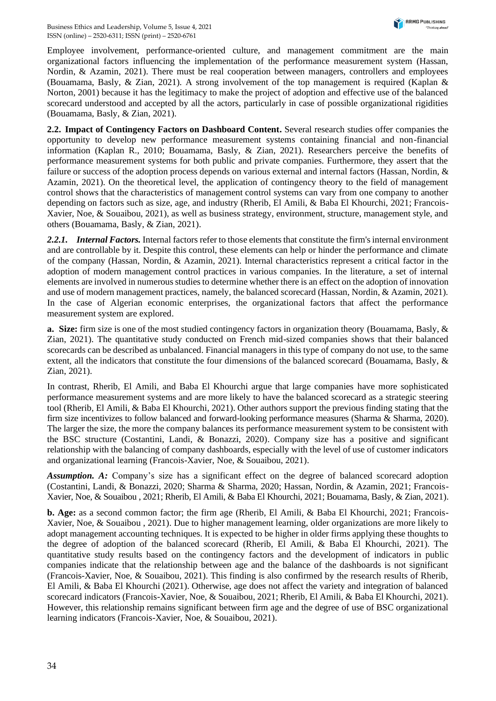Employee involvement, performance-oriented culture, and management commitment are the main organizational factors influencing the implementation of the performance measurement system (Hassan, Nordin, & Azamin, 2021). There must be real cooperation between managers, controllers and employees (Bouamama, Basly, & Zian, 2021). A strong involvement of the top management is required (Kaplan & Norton, 2001) because it has the legitimacy to make the project of adoption and effective use of the balanced scorecard understood and accepted by all the actors, particularly in case of possible organizational rigidities (Bouamama, Basly, & Zian, 2021).

**2.2. Impact of Contingency Factors on Dashboard Content.** Several research studies offer companies the opportunity to develop new performance measurement systems containing financial and non-financial information (Kaplan R., 2010; Bouamama, Basly, & Zian, 2021). Researchers perceive the benefits of performance measurement systems for both public and private companies. Furthermore, they assert that the failure or success of the adoption process depends on various external and internal factors (Hassan, Nordin, & Azamin, 2021). On the theoretical level, the application of contingency theory to the field of management control shows that the characteristics of management control systems can vary from one company to another depending on factors such as size, age, and industry (Rherib, El Amili, & Baba El Khourchi, 2021; Francois-Xavier, Noe, & Souaibou, 2021), as well as business strategy, environment, structure, management style, and others (Bouamama, Basly, & Zian, 2021).

*2.2.1. Internal Factors.* Internal factors refer to those elements that constitute the firm's internal environment and are controllable by it. Despite this control, these elements can help or hinder the performance and climate of the company (Hassan, Nordin, & Azamin, 2021). Internal characteristics represent a critical factor in the adoption of modern management control practices in various companies. In the literature, a set of internal elements are involved in numerous studies to determine whether there is an effect on the adoption of innovation and use of modern management practices, namely, the balanced scorecard (Hassan, Nordin, & Azamin, 2021). In the case of Algerian economic enterprises, the organizational factors that affect the performance measurement system are explored.

**a. Size:** firm size is one of the most studied contingency factors in organization theory (Bouamama, Basly, & Zian, 2021). The quantitative study conducted on French mid-sized companies shows that their balanced scorecards can be described as unbalanced. Financial managers in this type of company do not use, to the same extent, all the indicators that constitute the four dimensions of the balanced scorecard (Bouamama, Basly, & Zian, 2021).

In contrast, Rherib, El Amili, and Baba El Khourchi argue that large companies have more sophisticated performance measurement systems and are more likely to have the balanced scorecard as a strategic steering tool (Rherib, El Amili, & Baba El Khourchi, 2021). Other authors support the previous finding stating that the firm size incentivizes to follow balanced and forward-looking performance measures (Sharma & Sharma, 2020). The larger the size, the more the company balances its performance measurement system to be consistent with the BSC structure (Costantini, Landi, & Bonazzi, 2020). Company size has a positive and significant relationship with the balancing of company dashboards, especially with the level of use of customer indicators and organizational learning (Francois-Xavier, Noe, & Souaibou, 2021).

*Assumption. A:* Company's size has a significant effect on the degree of balanced scorecard adoption (Costantini, Landi, & Bonazzi, 2020; Sharma & Sharma, 2020; Hassan, Nordin, & Azamin, 2021; Francois-Xavier, Noe, & Souaibou , 2021; Rherib, El Amili, & Baba El Khourchi, 2021; Bouamama, Basly, & Zian, 2021).

**b. Age:** as a second common factor; the firm age (Rherib, El Amili, & Baba El Khourchi, 2021; Francois-Xavier, Noe, & Souaibou , 2021). Due to higher management learning, older organizations are more likely to adopt management accounting techniques. It is expected to be higher in older firms applying these thoughts to the degree of adoption of the balanced scorecard (Rherib, El Amili, & Baba El Khourchi, 2021). The quantitative study results based on the contingency factors and the development of indicators in public companies indicate that the relationship between age and the balance of the dashboards is not significant (Francois-Xavier, Noe, & Souaibou, 2021). This finding is also confirmed by the research results of Rherib, El Amili, & Baba El Khourchi (2021). Otherwise, age does not affect the variety and integration of balanced scorecard indicators (Francois-Xavier, Noe, & Souaibou, 2021; Rherib, El Amili, & Baba El Khourchi, 2021). However, this relationship remains significant between firm age and the degree of use of BSC organizational learning indicators (Francois-Xavier, Noe, & Souaibou, 2021).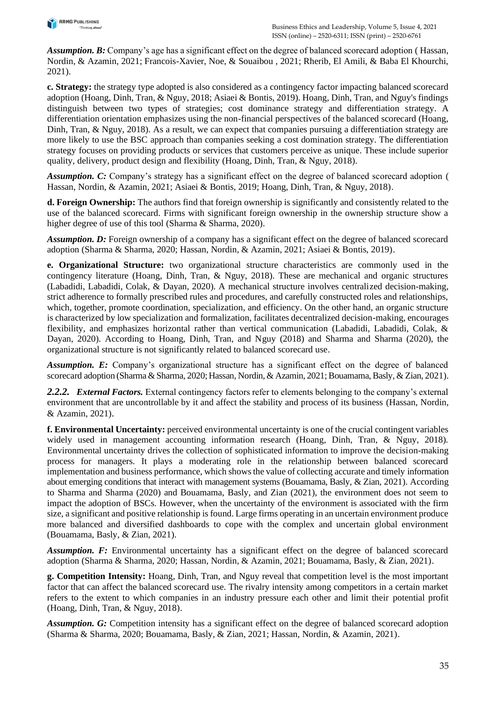

*Assumption. B:* Company's age has a significant effect on the degree of balanced scorecard adoption ( Hassan, Nordin, & Azamin, 2021; Francois-Xavier, Noe, & Souaibou , 2021; Rherib, El Amili, & Baba El Khourchi, 2021).

**c. Strategy:** the strategy type adopted is also considered as a contingency factor impacting balanced scorecard adoption (Hoang, Dinh, Tran, & Nguy, 2018; Asiaei & Bontis, 2019). Hoang, Dinh, Tran, and Nguy's findings distinguish between two types of strategies; cost dominance strategy and differentiation strategy. A differentiation orientation emphasizes using the non-financial perspectives of the balanced scorecard (Hoang, Dinh, Tran, & Nguy, 2018). As a result, we can expect that companies pursuing a differentiation strategy are more likely to use the BSC approach than companies seeking a cost domination strategy. The differentiation strategy focuses on providing products or services that customers perceive as unique. These include superior quality, delivery, product design and flexibility (Hoang, Dinh, Tran, & Nguy, 2018).

*Assumption. C:* Company's strategy has a significant effect on the degree of balanced scorecard adoption ( Hassan, Nordin, & Azamin, 2021; Asiaei & Bontis, 2019; Hoang, Dinh, Tran, & Nguy, 2018).

**d. Foreign Ownership:** The authors find that foreign ownership is significantly and consistently related to the use of the balanced scorecard. Firms with significant foreign ownership in the ownership structure show a higher degree of use of this tool (Sharma & Sharma, 2020).

*Assumption. D:* Foreign ownership of a company has a significant effect on the degree of balanced scorecard adoption (Sharma & Sharma, 2020; Hassan, Nordin, & Azamin, 2021; Asiaei & Bontis, 2019).

**e. Organizational Structure:** two organizational structure characteristics are commonly used in the contingency literature (Hoang, Dinh, Tran, & Nguy, 2018). These are mechanical and organic structures (Labadidi, Labadidi, Colak, & Dayan, 2020). A mechanical structure involves centralized decision-making, strict adherence to formally prescribed rules and procedures, and carefully constructed roles and relationships, which, together, promote coordination, specialization, and efficiency. On the other hand, an organic structure is characterized by low specialization and formalization, facilitates decentralized decision-making, encourages flexibility, and emphasizes horizontal rather than vertical communication (Labadidi, Labadidi, Colak, & Dayan, 2020). According to Hoang, Dinh, Tran, and Nguy (2018) and Sharma and Sharma (2020), the organizational structure is not significantly related to balanced scorecard use.

*Assumption. E:* Company's organizational structure has a significant effect on the degree of balanced scorecard adoption (Sharma & Sharma, 2020; Hassan, Nordin, & Azamin, 2021; Bouamama, Basly, & Zian, 2021).

*2.2.2. External Factors.* External contingency factors refer to elements belonging to the company's external environment that are uncontrollable by it and affect the stability and process of its business (Hassan, Nordin, & Azamin, 2021).

**f. Environmental Uncertainty:** perceived environmental uncertainty is one of the crucial contingent variables widely used in management accounting information research (Hoang, Dinh, Tran, & Nguy, 2018). Environmental uncertainty drives the collection of sophisticated information to improve the decision-making process for managers. It plays a moderating role in the relationship between balanced scorecard implementation and business performance, which shows the value of collecting accurate and timely information about emerging conditions that interact with management systems (Bouamama, Basly, & Zian, 2021). According to Sharma and Sharma (2020) and Bouamama, Basly, and Zian (2021), the environment does not seem to impact the adoption of BSCs. However, when the uncertainty of the environment is associated with the firm size, a significant and positive relationship is found. Large firms operating in an uncertain environment produce more balanced and diversified dashboards to cope with the complex and uncertain global environment (Bouamama, Basly, & Zian, 2021).

*Assumption. F:* Environmental uncertainty has a significant effect on the degree of balanced scorecard adoption (Sharma & Sharma, 2020; Hassan, Nordin, & Azamin, 2021; Bouamama, Basly, & Zian, 2021).

**g. Competition Intensity:** Hoang, Dinh, Tran, and Nguy reveal that competition level is the most important factor that can affect the balanced scorecard use. The rivalry intensity among competitors in a certain market refers to the extent to which companies in an industry pressure each other and limit their potential profit (Hoang, Dinh, Tran, & Nguy, 2018).

*Assumption. G:* Competition intensity has a significant effect on the degree of balanced scorecard adoption (Sharma & Sharma, 2020; Bouamama, Basly, & Zian, 2021; Hassan, Nordin, & Azamin, 2021).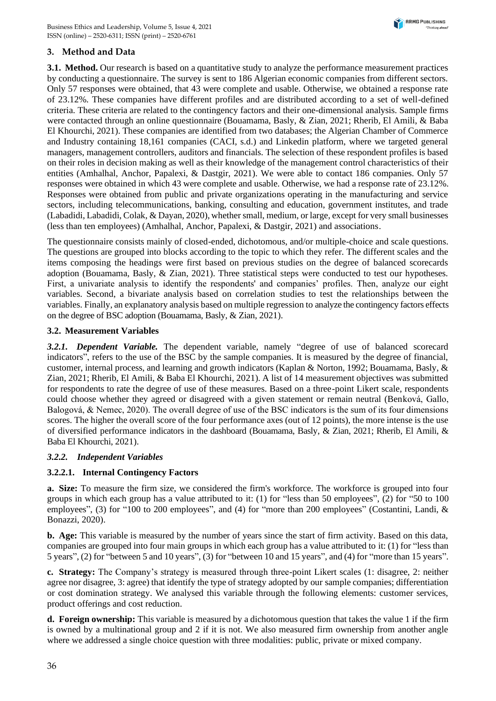# **3. Method and Data**

**3.1. Method.** Our research is based on a quantitative study to analyze the performance measurement practices by conducting a questionnaire. The survey is sent to 186 Algerian economic companies from different sectors. Only 57 responses were obtained, that 43 were complete and usable. Otherwise, we obtained a response rate of 23.12%. These companies have different profiles and are distributed according to a set of well-defined criteria. These criteria are related to the contingency factors and their one-dimensional analysis. Sample firms were contacted through an online questionnaire (Bouamama, Basly, & Zian, 2021; Rherib, El Amili, & Baba El Khourchi, 2021). These companies are identified from two databases; the Algerian Chamber of Commerce and Industry containing 18,161 companies (CACI, s.d.) and Linkedin platform, where we targeted general managers, management controllers, auditors and financials. The selection of these respondent profiles is based on their roles in decision making as well as their knowledge of the management control characteristics of their entities (Amhalhal, Anchor, Papalexi, & Dastgir, 2021). We were able to contact 186 companies. Only 57 responses were obtained in which 43 were complete and usable. Otherwise, we had a response rate of 23.12%. Responses were obtained from public and private organizations operating in the manufacturing and service sectors, including telecommunications, banking, consulting and education, government institutes, and trade (Labadidi, Labadidi, Colak, & Dayan, 2020), whether small, medium, or large, except for very small businesses (less than ten employees) (Amhalhal, Anchor, Papalexi, & Dastgir, 2021) and associations.

The questionnaire consists mainly of closed-ended, dichotomous, and/or multiple-choice and scale questions. The questions are grouped into blocks according to the topic to which they refer. The different scales and the items composing the headings were first based on previous studies on the degree of balanced scorecards adoption (Bouamama, Basly, & Zian, 2021). Three statistical steps were conducted to test our hypotheses. First, a univariate analysis to identify the respondents' and companies' profiles. Then, analyze our eight variables. Second, a bivariate analysis based on correlation studies to test the relationships between the variables. Finally, an explanatory analysis based on multiple regression to analyze the contingency factors effects on the degree of BSC adoption (Bouamama, Basly, & Zian, 2021).

## **3.2. Measurement Variables**

*3.2.1. Dependent Variable.* The dependent variable, namely "degree of use of balanced scorecard indicators", refers to the use of the BSC by the sample companies. It is measured by the degree of financial, customer, internal process, and learning and growth indicators (Kaplan & Norton, 1992; Bouamama, Basly, & Zian, 2021; Rherib, El Amili, & Baba El Khourchi, 2021). A list of 14 measurement objectives was submitted for respondents to rate the degree of use of these measures. Based on a three-point Likert scale, respondents could choose whether they agreed or disagreed with a given statement or remain neutral (Benková, Gallo, Balogová, & Nemec, 2020). The overall degree of use of the BSC indicators is the sum of its four dimensions scores. The higher the overall score of the four performance axes (out of 12 points), the more intense is the use of diversified performance indicators in the dashboard (Bouamama, Basly, & Zian, 2021; Rherib, El Amili, & Baba El Khourchi, 2021).

## *3.2.2. Independent Variables*

## **3.2.2.1. Internal Contingency Factors**

**a. Size:** To measure the firm size, we considered the firm's workforce. The workforce is grouped into four groups in which each group has a value attributed to it: (1) for "less than 50 employees", (2) for "50 to 100 employees", (3) for "100 to 200 employees", and (4) for "more than 200 employees" (Costantini, Landi, & Bonazzi, 2020).

**b. Age:** This variable is measured by the number of years since the start of firm activity. Based on this data, companies are grouped into four main groups in which each group has a value attributed to it: (1) for "less than 5 years", (2) for "between 5 and 10 years", (3) for "between 10 and 15 years", and (4) for "more than 15 years".

**c. Strategy:** The Company's strategy is measured through three-point Likert scales (1: disagree, 2: neither agree nor disagree, 3: agree) that identify the type of strategy adopted by our sample companies; differentiation or cost domination strategy. We analysed this variable through the following elements: customer services, product offerings and cost reduction.

**d. Foreign ownership:** This variable is measured by a dichotomous question that takes the value 1 if the firm is owned by a multinational group and 2 if it is not. We also measured firm ownership from another angle where we addressed a single choice question with three modalities: public, private or mixed company.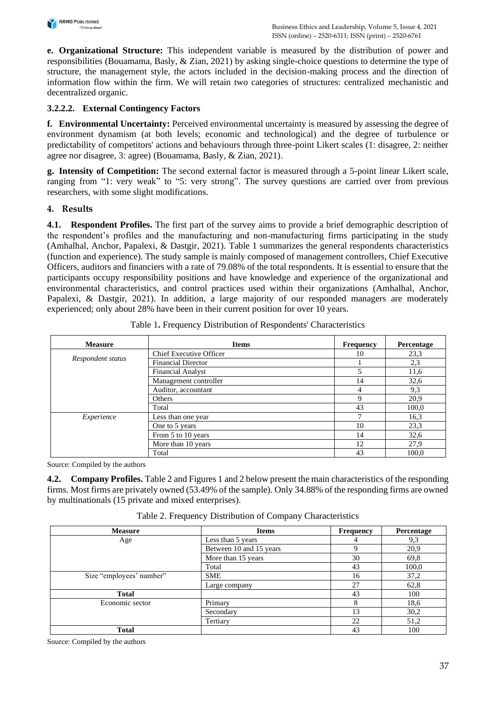

**e. Organizational Structure:** This independent variable is measured by the distribution of power and responsibilities (Bouamama, Basly, & Zian, 2021) by asking single-choice questions to determine the type of structure, the management style, the actors included in the decision-making process and the direction of information flow within the firm. We will retain two categories of structures: centralized mechanistic and decentralized organic.

## **3.2.2.2. External Contingency Factors**

**f. Environmental Uncertainty:** Perceived environmental uncertainty is measured by assessing the degree of environment dynamism (at both levels; economic and technological) and the degree of turbulence or predictability of competitors' actions and behaviours through three-point Likert scales (1: disagree, 2: neither agree nor disagree, 3: agree) (Bouamama, Basly, & Zian, 2021).

**g. Intensity of Competition:** The second external factor is measured through a 5-point linear Likert scale, ranging from "1: very weak" to "5: very strong". The survey questions are carried over from previous researchers, with some slight modifications.

#### **4. Results**

**4.1. Respondent Profiles.** The first part of the survey aims to provide a brief demographic description of the respondent's profiles and the manufacturing and non-manufacturing firms participating in the study (Amhalhal, Anchor, Papalexi, & Dastgir, 2021). Table 1 summarizes the general respondents characteristics (function and experience). The study sample is mainly composed of management controllers, Chief Executive Officers, auditors and financiers with a rate of 79.08% of the total respondents. It is essential to ensure that the participants occupy responsibility positions and have knowledge and experience of the organizational and environmental characteristics, and control practices used within their organizations (Amhalhal, Anchor, Papalexi, & Dastgir, 2021). In addition, a large majority of our responded managers are moderately experienced; only about 28% have been in their current position for over 10 years.

| <b>Measure</b>    | <b>Items</b>                   | <b>Frequency</b> | Percentage |
|-------------------|--------------------------------|------------------|------------|
|                   | <b>Chief Executive Officer</b> | 10               | 23,3       |
| Respondent status | <b>Financial Director</b>      |                  | 2,3        |
|                   | <b>Financial Analyst</b>       | 5                | 11,6       |
|                   | Management controller          | 14               | 32,6       |
|                   | Auditor, accountant            | 4                | 9,3        |
|                   | Others                         | Q                | 20,9       |
|                   | Total                          | 43               | 100,0      |
| Experience        | Less than one year             | ⇁                | 16.3       |
|                   | One to 5 years                 | 10               | 23,3       |
|                   | From 5 to 10 years             | 14               | 32,6       |
|                   | More than 10 years             | 12               | 27,9       |
|                   | Total                          | 43               | 100.0      |

|  | Table 1. Frequency Distribution of Respondents' Characteristics |  |
|--|-----------------------------------------------------------------|--|
|--|-----------------------------------------------------------------|--|

Source: Compiled by the authors

**4.2. Company Profiles.** Table 2 and Figures 1 and 2 below present the main characteristics of the responding firms. Most firms are privately owned (53.49% of the sample). Only 34.88% of the responding firms are owned by multinationals (15 private and mixed enterprises).

| <b>Measure</b>           | <b>Items</b>            | <b>Frequency</b> | Percentage |
|--------------------------|-------------------------|------------------|------------|
| Age                      | Less than 5 years       |                  | 9,3        |
|                          | Between 10 and 15 years | Q                | 20,9       |
|                          | More than 15 years      | 30               | 69.8       |
|                          | Total                   | 43               | 100,0      |
| Size "employees' number" | <b>SME</b>              | 16               | 37,2       |
|                          | Large company           | 27               | 62,8       |
| <b>Total</b>             |                         | 43               | 100        |
| Economic sector          | Primary                 | 8                | 18,6       |
|                          | Secondary               | 13               | 30,2       |
|                          | Tertiary                | 22               | 51,2       |
| <b>Total</b>             |                         | 43               | 100        |

Table 2. Frequency Distribution of Company Characteristics

Source: Compiled by the authors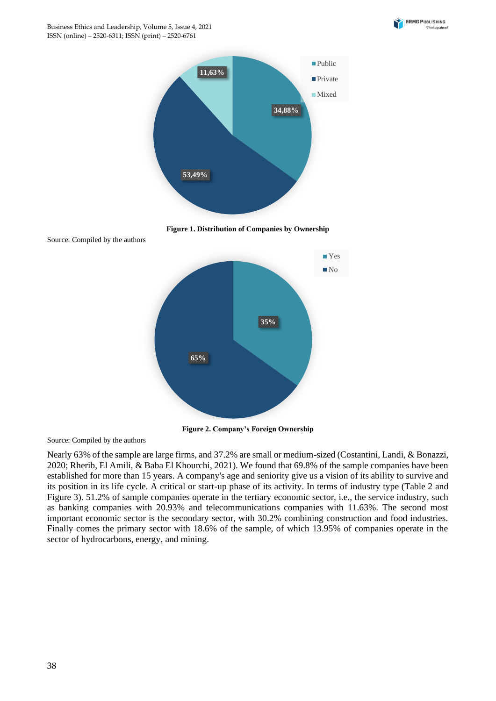





Source: Compiled by the authors



**Figure 2. Company's Foreign Ownership**

Source: Compiled by the authors

Nearly 63% of the sample are large firms, and 37.2% are small or medium-sized (Costantini, Landi, & Bonazzi, 2020; Rherib, El Amili, & Baba El Khourchi, 2021). We found that 69.8% of the sample companies have been established for more than 15 years. A company's age and seniority give us a vision of its ability to survive and its position in its life cycle. A critical or start-up phase of its activity. In terms of industry type (Table 2 and Figure 3). 51.2% of sample companies operate in the tertiary economic sector, i.e., the service industry, such as banking companies with 20.93% and telecommunications companies with 11.63%. The second most important economic sector is the secondary sector, with 30.2% combining construction and food industries. Finally comes the primary sector with 18.6% of the sample, of which 13.95% of companies operate in the sector of hydrocarbons, energy, and mining.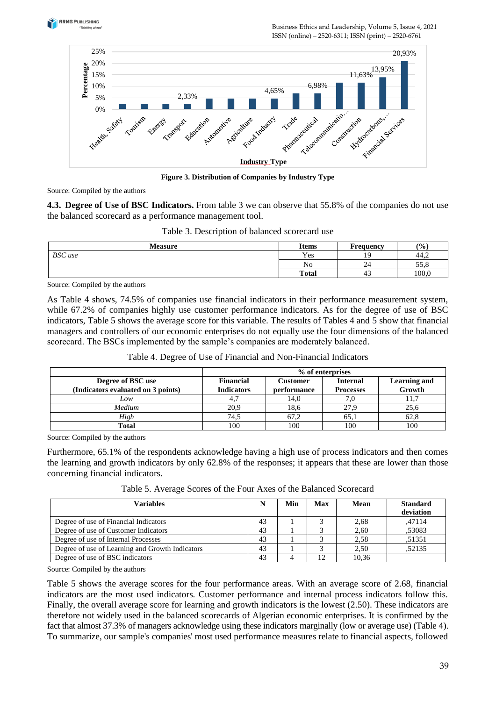

Business Ethics and Leadership, Volume 5, Issue 4, 2021 ISSN (online) – 2520-6311; ISSN (print) – 2520-6761



**Figure 3. Distribution of Companies by Industry Type**

Source: Compiled by the authors

**4.3. Degree of Use of BSC Indicators.** From table 3 we can observe that 55.8% of the companies do not use the balanced scorecard as a performance management tool.

| <b>Measure</b> | <b>Items</b> | <b>Frequency</b> | (9/0) |
|----------------|--------------|------------------|-------|
| <b>BSC</b> use | Yes          | 19               | 44.2  |
|                | No           | 24               | 55,8  |
|                | <b>Total</b> | 43               | 100,0 |

Table 3. Description of balanced scorecard use

Source: Compiled by the authors

As Table 4 shows, 74.5% of companies use financial indicators in their performance measurement system, while 67.2% of companies highly use customer performance indicators. As for the degree of use of BSC indicators, Table 5 shows the average score for this variable. The results of Tables 4 and 5 show that financial managers and controllers of our economic enterprises do not equally use the four dimensions of the balanced scorecard. The BSCs implemented by the sample's companies are moderately balanced.

|                                                         | % of enterprises               |                         |                                     |                               |  |  |
|---------------------------------------------------------|--------------------------------|-------------------------|-------------------------------------|-------------------------------|--|--|
| Degree of BSC use<br>(Indicators evaluated on 3 points) | Financial<br><b>Indicators</b> | Customer<br>performance | <b>Internal</b><br><b>Processes</b> | <b>Learning and</b><br>Growth |  |  |
| Low                                                     |                                | 14,0                    |                                     |                               |  |  |
| Medium                                                  | 20,9                           | 18,6                    | 27.9                                | 25,6                          |  |  |
| High                                                    | 74,5                           | 67,2                    | 65,1                                | 62,8                          |  |  |
| Total                                                   | 100                            | 100                     | 100                                 | 100                           |  |  |

Table 4. Degree of Use of Financial and Non-Financial Indicators

Source: Compiled by the authors

Furthermore, 65.1% of the respondents acknowledge having a high use of process indicators and then comes the learning and growth indicators by only 62.8% of the responses; it appears that these are lower than those concerning financial indicators.

| Table 5. Average Scores of the Four Axes of the Balanced Scorecard |  |
|--------------------------------------------------------------------|--|
|--------------------------------------------------------------------|--|

| Variables                                       | N  | Min | Max | Mean  | <b>Standard</b><br>deviation |
|-------------------------------------------------|----|-----|-----|-------|------------------------------|
| Degree of use of Financial Indicators           | 43 |     |     | 2.68  | .47114                       |
| Degree of use of Customer Indicators            | 43 |     |     | 2.60  | .53083                       |
| Degree of use of Internal Processes             | 43 |     |     | 2.58  | .51351                       |
| Degree of use of Learning and Growth Indicators | 43 |     |     | 2.50  | .52135                       |
| Degree of use of BSC indicators                 | 43 |     | 12  | 10.36 |                              |

Source: Compiled by the authors

Table 5 shows the average scores for the four performance areas. With an average score of 2.68, financial indicators are the most used indicators. Customer performance and internal process indicators follow this. Finally, the overall average score for learning and growth indicators is the lowest (2.50). These indicators are therefore not widely used in the balanced scorecards of Algerian economic enterprises. It is confirmed by the fact that almost 37.3% of managers acknowledge using these indicators marginally (low or average use) (Table 4). To summarize, our sample's companies' most used performance measures relate to financial aspects, followed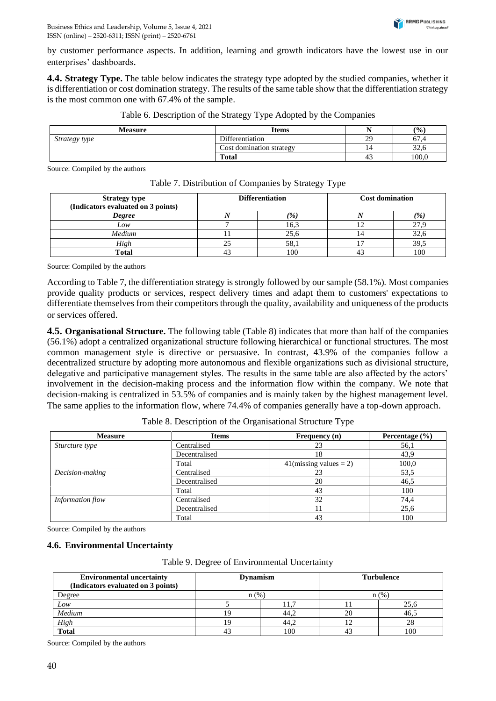by customer performance aspects. In addition, learning and growth indicators have the lowest use in our enterprises' dashboards.

**4.4. Strategy Type.** The table below indicates the strategy type adopted by the studied companies, whether it is differentiation or cost domination strategy. The results of the same table show that the differentiation strategy is the most common one with 67.4% of the sample.

| Measure       | <b>Items</b>             | . .          | (9/0)                 |
|---------------|--------------------------|--------------|-----------------------|
| Strategy type | Differentiation          | 29           | $\sim$<br>67.4        |
|               | Cost domination strategy | <sup>4</sup> | $\sim$ $\sim$<br>34.0 |
|               | <b>Total</b>             | -45          | 100.0                 |

|  | Table 6. Description of the Strategy Type Adopted by the Companies |  |  |  |
|--|--------------------------------------------------------------------|--|--|--|
|  |                                                                    |  |  |  |

Source: Compiled by the authors

| <b>Strategy type</b><br>(Indicators evaluated on 3 points) | <b>Differentiation</b> |               | <b>Cost domination</b> |               |
|------------------------------------------------------------|------------------------|---------------|------------------------|---------------|
| <b>Degree</b>                                              |                        | $\frac{1}{2}$ |                        | $\frac{1}{2}$ |
| Low                                                        |                        | 16,3          |                        |               |
| Medium                                                     |                        | 25,6          |                        | 32,6          |
| High                                                       |                        | 58.1          |                        | 39,5          |
| Total                                                      |                        | 100           |                        | 100           |

Table 7. Distribution of Companies by Strategy Type

Source: Compiled by the authors

According to Table 7, the differentiation strategy is strongly followed by our sample (58.1%). Most companies provide quality products or services, respect delivery times and adapt them to customers' expectations to differentiate themselves from their competitors through the quality, availability and uniqueness of the products or services offered.

**4.5. Organisational Structure.** The following table (Table 8) indicates that more than half of the companies (56.1%) adopt a centralized organizational structure following hierarchical or functional structures. The most common management style is directive or persuasive. In contrast, 43.9% of the companies follow a decentralized structure by adopting more autonomous and flexible organizations such as divisional structure, delegative and participative management styles. The results in the same table are also affected by the actors' involvement in the decision-making process and the information flow within the company. We note that decision-making is centralized in 53.5% of companies and is mainly taken by the highest management level. The same applies to the information flow, where 74.4% of companies generally have a top-down approach.

| <b>Measure</b>   | <b>Items</b>  | Frequency (n)             | Percentage $(\% )$ |
|------------------|---------------|---------------------------|--------------------|
| Sturcture type   | Centralised   | 23                        | 56,1               |
|                  | Decentralised | 18                        | 43,9               |
|                  | Total         | $41$ (missing values = 2) | 100,0              |
| Decision-making  | Centralised   | 23                        | 53,5               |
|                  | Decentralised | 20                        | 46,5               |
|                  | Total         | 43                        | 100                |
| Information flow | Centralised   | 32                        | 74,4               |
|                  | Decentralised |                           | 25,6               |
|                  | Total         | 43                        | 100                |

Table 8. Description of the Organisational Structure Type

Source: Compiled by the authors

#### **4.6. Environmental Uncertainty**

Table 9. Degree of Environmental Uncertainty

| <b>Environmental uncertainty</b><br>(Indicators evaluated on 3 points) | <b>Dynamism</b> |      |    | <b>Turbulence</b> |
|------------------------------------------------------------------------|-----------------|------|----|-------------------|
| Degree                                                                 | n(%             |      |    | n(%               |
| Low                                                                    |                 |      |    | 25,6              |
| Medium                                                                 |                 | 44.2 |    | 46.5              |
| High<br>Total                                                          |                 | 44,2 |    | 28                |
|                                                                        |                 | 100  | 43 | 100               |

Source: Compiled by the authors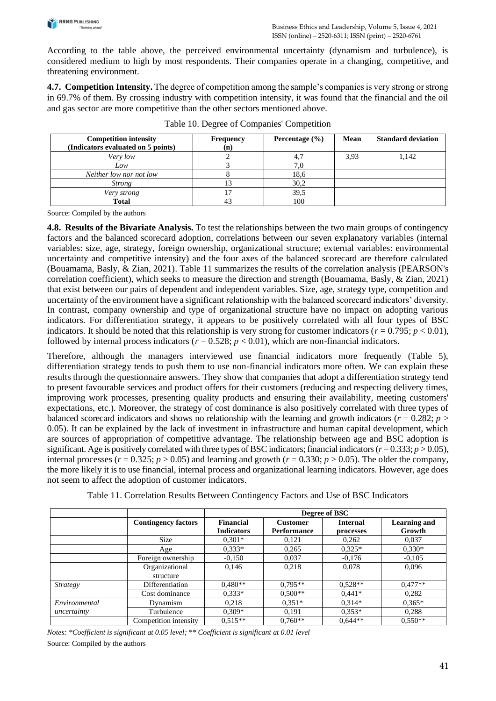

According to the table above, the perceived environmental uncertainty (dynamism and turbulence), is considered medium to high by most respondents. Their companies operate in a changing, competitive, and threatening environment.

**4.7. Competition Intensity.** The degree of competition among the sample's companies is very strong or strong in 69.7% of them. By crossing industry with competition intensity, it was found that the financial and the oil and gas sector are more competitive than the other sectors mentioned above.

| <b>Competition intensity</b><br>(Indicators evaluated on 5 points) | <b>Frequency</b><br>(n) | Percentage $(\% )$ | Mean | <b>Standard deviation</b> |
|--------------------------------------------------------------------|-------------------------|--------------------|------|---------------------------|
| Very low                                                           |                         |                    | 3.93 | 1.142                     |
| Low                                                                |                         |                    |      |                           |
| Neither low nor not low                                            |                         | 18,6               |      |                           |
| <i>Strong</i>                                                      |                         | 30,2               |      |                           |
| Very strong                                                        |                         | 39,5               |      |                           |
| Total                                                              |                         | 100                |      |                           |

Table 10. Degree of Companies' Competition

Source: Compiled by the authors

**4.8. Results of the Bivariate Analysis.** To test the relationships between the two main groups of contingency factors and the balanced scorecard adoption, correlations between our seven explanatory variables (internal variables: size, age, strategy, foreign ownership, organizational structure; external variables: environmental uncertainty and competitive intensity) and the four axes of the balanced scorecard are therefore calculated (Bouamama, Basly, & Zian, 2021). Table 11 summarizes the results of the correlation analysis (PEARSON's correlation coefficient), which seeks to measure the direction and strength (Bouamama, Basly, & Zian, 2021) that exist between our pairs of dependent and independent variables. Size, age, strategy type, competition and uncertainty of the environment have a significant relationship with the balanced scorecard indicators' diversity. In contrast, company ownership and type of organizational structure have no impact on adopting various indicators. For differentiation strategy, it appears to be positively correlated with all four types of BSC indicators. It should be noted that this relationship is very strong for customer indicators ( $r = 0.795$ ;  $p < 0.01$ ), followed by internal process indicators ( $r = 0.528$ ;  $p < 0.01$ ), which are non-financial indicators.

Therefore, although the managers interviewed use financial indicators more frequently (Table 5), differentiation strategy tends to push them to use non-financial indicators more often. We can explain these results through the questionnaire answers. They show that companies that adopt a differentiation strategy tend to present favourable services and product offers for their customers (reducing and respecting delivery times, improving work processes, presenting quality products and ensuring their availability, meeting customers' expectations, etc.). Moreover, the strategy of cost dominance is also positively correlated with three types of balanced scorecard indicators and shows no relationship with the learning and growth indicators ( $r = 0.282$ ;  $p >$ 0.05). It can be explained by the lack of investment in infrastructure and human capital development, which are sources of appropriation of competitive advantage. The relationship between age and BSC adoption is significant. Age is positively correlated with three types of BSC indicators; financial indicators ( $r = 0.333$ ;  $p > 0.05$ ), internal processes ( $r = 0.325$ ;  $p > 0.05$ ) and learning and growth ( $r = 0.330$ ;  $p > 0.05$ ). The older the company, the more likely it is to use financial, internal process and organizational learning indicators. However, age does not seem to affect the adoption of customer indicators.

|                 |                             | Degree of BSC                  |                                       |                              |                               |  |  |
|-----------------|-----------------------------|--------------------------------|---------------------------------------|------------------------------|-------------------------------|--|--|
|                 | <b>Contingency factors</b>  | Financial<br><b>Indicators</b> | <b>Customer</b><br><b>Performance</b> | <b>Internal</b><br>processes | <b>Learning and</b><br>Growth |  |  |
|                 | Size                        | $0.301*$                       | 0,121                                 | 0,262                        | 0,037                         |  |  |
|                 | Age                         | $0.333*$                       | 0,265                                 | $0.325*$                     | $0.330*$                      |  |  |
|                 | Foreign ownership           | $-0.150$                       | 0,037                                 | $-0,176$                     | $-0.105$                      |  |  |
|                 | Organizational<br>structure | 0,146                          | 0,218                                 | 0,078                        | 0,096                         |  |  |
| <b>Strategy</b> | Differentiation             | $0.480**$                      | $0.795**$                             | $0.528**$                    | $0.477**$                     |  |  |
|                 | Cost dominance              | $0.333*$                       | $0.500**$                             | $0.441*$                     | 0,282                         |  |  |
| Environmental   | Dynamism                    | 0,218                          | $0.351*$                              | $0.314*$                     | $0.365*$                      |  |  |
| uncertainty     | Turbulence                  | $0.309*$                       | 0,191                                 | $0.353*$                     | 0,288                         |  |  |
|                 | Competition intensity       | $0.515**$                      | $0.760**$                             | $0.644**$                    | $0.550**$                     |  |  |

Table 11. Correlation Results Between Contingency Factors and Use of BSC Indicators

*Notes: \*Coefficient is significant at 0.05 level; \*\* Coefficient is significant at 0.01 level* Source: Compiled by the authors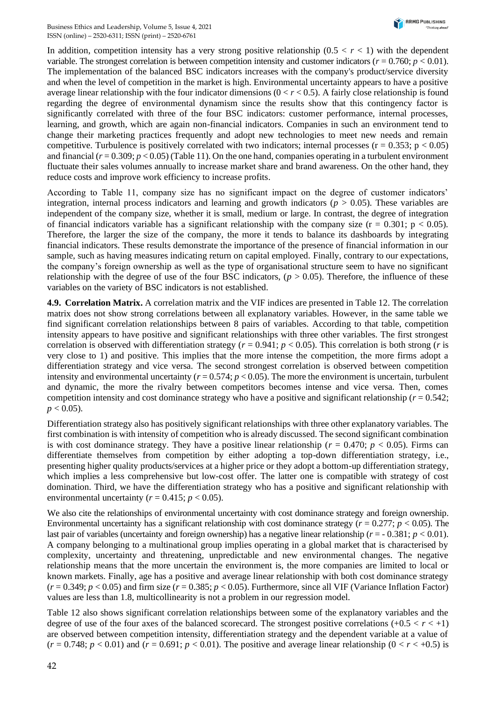In addition, competition intensity has a very strong positive relationship  $(0.5 < r < 1)$  with the dependent variable. The strongest correlation is between competition intensity and customer indicators ( $r = 0.760$ ;  $p < 0.01$ ). The implementation of the balanced BSC indicators increases with the company's product/service diversity and when the level of competition in the market is high. Environmental uncertainty appears to have a positive average linear relationship with the four indicator dimensions  $(0 < r < 0.5)$ . A fairly close relationship is found regarding the degree of environmental dynamism since the results show that this contingency factor is significantly correlated with three of the four BSC indicators: customer performance, internal processes, learning, and growth, which are again non-financial indicators. Companies in such an environment tend to change their marketing practices frequently and adopt new technologies to meet new needs and remain competitive. Turbulence is positively correlated with two indicators; internal processes ( $r = 0.353$ ;  $p < 0.05$ ) and financial  $(r = 0.309; p < 0.05)$  (Table 11). On the one hand, companies operating in a turbulent environment fluctuate their sales volumes annually to increase market share and brand awareness. On the other hand, they reduce costs and improve work efficiency to increase profits.

According to Table 11, company size has no significant impact on the degree of customer indicators' integration, internal process indicators and learning and growth indicators ( $p > 0.05$ ). These variables are independent of the company size, whether it is small, medium or large. In contrast, the degree of integration of financial indicators variable has a significant relationship with the company size  $(r = 0.301; p < 0.05)$ . Therefore, the larger the size of the company, the more it tends to balance its dashboards by integrating financial indicators. These results demonstrate the importance of the presence of financial information in our sample, such as having measures indicating return on capital employed. Finally, contrary to our expectations, the company's foreign ownership as well as the type of organisational structure seem to have no significant relationship with the degree of use of the four BSC indicators,  $(p > 0.05)$ . Therefore, the influence of these variables on the variety of BSC indicators is not established.

**4.9. Correlation Matrix.** A correlation matrix and the VIF indices are presented in Table 12. The correlation matrix does not show strong correlations between all explanatory variables. However, in the same table we find significant correlation relationships between 8 pairs of variables. According to that table, competition intensity appears to have positive and significant relationships with three other variables. The first strongest correlation is observed with differentiation strategy ( $r = 0.941$ ;  $p < 0.05$ ). This correlation is both strong (*r* is very close to 1) and positive. This implies that the more intense the competition, the more firms adopt a differentiation strategy and vice versa. The second strongest correlation is observed between competition intensity and environmental uncertainty  $(r = 0.574; p < 0.05)$ . The more the environment is uncertain, turbulent and dynamic, the more the rivalry between competitors becomes intense and vice versa. Then, comes competition intensity and cost dominance strategy who have a positive and significant relationship ( $r = 0.542$ ;  $p < 0.05$ ).

Differentiation strategy also has positively significant relationships with three other explanatory variables. The first combination is with intensity of competition who is already discussed. The second significant combination is with cost dominance strategy. They have a positive linear relationship ( $r = 0.470$ ;  $p < 0.05$ ). Firms can differentiate themselves from competition by either adopting a top-down differentiation strategy, i.e., presenting higher quality products/services at a higher price or they adopt a bottom-up differentiation strategy, which implies a less comprehensive but low-cost offer. The latter one is compatible with strategy of cost domination. Third, we have the differentiation strategy who has a positive and significant relationship with environmental uncertainty ( $r = 0.415$ ;  $p < 0.05$ ).

We also cite the relationships of environmental uncertainty with cost dominance strategy and foreign ownership. Environmental uncertainty has a significant relationship with cost dominance strategy ( $r = 0.277$ ;  $p < 0.05$ ). The last pair of variables (uncertainty and foreign ownership) has a negative linear relationship (*r* = - 0.381; *p* < 0.01). A company belonging to a multinational group implies operating in a global market that is characterised by complexity, uncertainty and threatening, unpredictable and new environmental changes. The negative relationship means that the more uncertain the environment is, the more companies are limited to local or known markets. Finally, age has a positive and average linear relationship with both cost dominance strategy  $(r = 0.349; p < 0.05)$  and firm size  $(r = 0.385; p < 0.05)$ . Furthermore, since all VIF (Variance Inflation Factor) values are less than 1.8, multicollinearity is not a problem in our regression model.

Table 12 also shows significant correlation relationships between some of the explanatory variables and the degree of use of the four axes of the balanced scorecard. The strongest positive correlations  $(+0.5 < r < +1)$ are observed between competition intensity, differentiation strategy and the dependent variable at a value of  $(r = 0.748; p < 0.01)$  and  $(r = 0.691; p < 0.01)$ . The positive and average linear relationship  $(0 < r < +0.5)$  is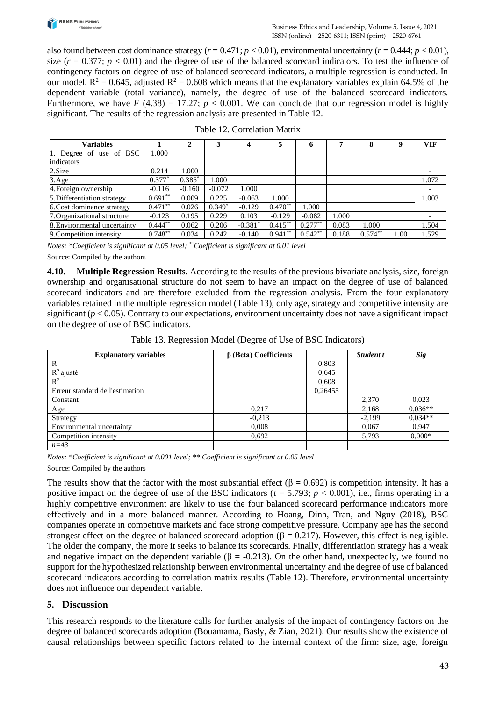

also found between cost dominance strategy  $(r = 0.471; p < 0.01)$ , environmental uncertainty  $(r = 0.444; p < 0.01)$ , size  $(r = 0.377; p < 0.01)$  and the degree of use of the balanced scorecard indicators. To test the influence of contingency factors on degree of use of balanced scorecard indicators, a multiple regression is conducted. In our model,  $R^2 = 0.645$ , adjusted  $R^2 = 0.608$  which means that the explanatory variables explain 64.5% of the dependent variable (total variance), namely, the degree of use of the balanced scorecard indicators. Furthermore, we have  $F(4.38) = 17.27$ ;  $p < 0.001$ . We can conclude that our regression model is highly significant. The results of the regression analysis are presented in Table 12.

| <b>Variables</b>             |            | $\mathbf{2}$ | 3        | 4         | 5          | o         |       | 8         | 9    | <b>VIF</b> |
|------------------------------|------------|--------------|----------|-----------|------------|-----------|-------|-----------|------|------------|
| 1. Degree of use of BSC      | 1.000      |              |          |           |            |           |       |           |      |            |
| indicators                   |            |              |          |           |            |           |       |           |      |            |
| 2. Size                      | 0.214      | 1.000        |          |           |            |           |       |           |      |            |
| $3. \text{Age}$              | $0.377*$   | $0.385*$     | .000     |           |            |           |       |           |      | 1.072      |
| 4. Foreign ownership         | $-0.116$   | $-0.160$     | $-0.072$ | 1.000     |            |           |       |           |      |            |
| 5. Differentiation strategy  | $0.691**$  | 0.009        | 0.225    | $-0.063$  | 1.000      |           |       |           |      | 1.003      |
| 6. Cost dominance strategy   | $0.471***$ | 0.026        | $0.349*$ | $-0.129$  | $0.470**$  | 1.000     |       |           |      |            |
| 7. Organizational structure  | $-0.123$   | 0.195        | 0.229    | 0.103     | $-0.129$   | $-0.082$  | 000.1 |           |      |            |
| 8. Environmental uncertainty | $0.444***$ | 0.062        | 0.206    | $-0.381*$ | $0.415***$ | $0.277**$ | 0.083 | 1.000     |      | 1.504      |
| 9. Competition intensity     | $0.748***$ | 0.034        | 0.242    | $-0.140$  | $0.941**$  | $0.542**$ | 0.188 | $0.574**$ | 1.00 | 1.529      |

#### Table 12. Correlation Matrix

*Notes: \*Coefficient is significant at 0.05 level; \*\*Coefficient is significant at 0.01 level* Source: Compiled by the authors

**4.10. Multiple Regression Results.** According to the results of the previous bivariate analysis, size, foreign ownership and organisational structure do not seem to have an impact on the degree of use of balanced scorecard indicators and are therefore excluded from the regression analysis. From the four explanatory variables retained in the multiple regression model (Table 13), only age, strategy and competitive intensity are significant  $(p < 0.05)$ . Contrary to our expectations, environment uncertainty does not have a significant impact on the degree of use of BSC indicators.

Table 13. Regression Model (Degree of Use of BSC Indicators)

| <b>Explanatory variables</b>    | $\beta$ (Beta) Coefficients |         | Student t | Sig       |
|---------------------------------|-----------------------------|---------|-----------|-----------|
| R                               |                             | 0,803   |           |           |
| $R^2$ ajusté                    |                             | 0,645   |           |           |
| $\mathbb{R}^2$                  |                             | 0,608   |           |           |
| Erreur standard de l'estimation |                             | 0,26455 |           |           |
| Constant                        |                             |         | 2,370     | 0,023     |
| Age                             | 0,217                       |         | 2,168     | $0.036**$ |
| Strategy                        | $-0,213$                    |         | $-2,199$  | $0,034**$ |
| Environmental uncertainty       | 0,008                       |         | 0,067     | 0,947     |
| Competition intensity           | 0,692                       |         | 5,793     | $0.000*$  |
| $n=43$                          |                             |         |           |           |

*Notes: \*Coefficient is significant at 0.001 level; \*\* Coefficient is significant at 0.05 level*

Source: Compiled by the authors

The results show that the factor with the most substantial effect ( $\beta = 0.692$ ) is competition intensity. It has a positive impact on the degree of use of the BSC indicators  $(t = 5.793; p < 0.001)$ , i.e., firms operating in a highly competitive environment are likely to use the four balanced scorecard performance indicators more effectively and in a more balanced manner. According to Hoang, Dinh, Tran, and Nguy (2018), BSC companies operate in competitive markets and face strong competitive pressure. Company age has the second strongest effect on the degree of balanced scorecard adoption ( $\beta = 0.217$ ). However, this effect is negligible. The older the company, the more it seeks to balance its scorecards. Finally, differentiation strategy has a weak and negative impact on the dependent variable ( $\beta$  = -0.213). On the other hand, unexpectedly, we found no support for the hypothesized relationship between environmental uncertainty and the degree of use of balanced scorecard indicators according to correlation matrix results (Table 12). Therefore, environmental uncertainty does not influence our dependent variable.

#### **5. Discussion**

This research responds to the literature calls for further analysis of the impact of contingency factors on the degree of balanced scorecards adoption (Bouamama, Basly, & Zian, 2021). Our results show the existence of causal relationships between specific factors related to the internal context of the firm: size, age, foreign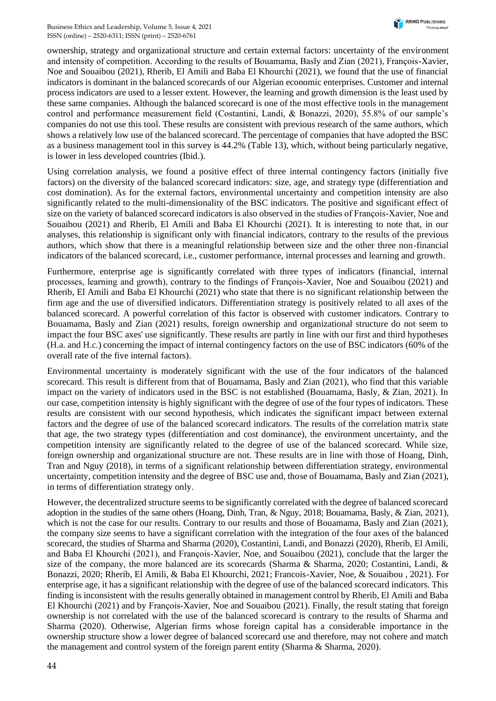ownership, strategy and organizational structure and certain external factors: uncertainty of the environment and intensity of competition. According to the results of Bouamama, Basly and Zian (2021), François-Xavier, Noe and Souaibou (2021), Rherib, El Amili and Baba El Khourchi (2021), we found that the use of financial indicators is dominant in the balanced scorecards of our Algerian economic enterprises. Customer and internal process indicators are used to a lesser extent. However, the learning and growth dimension is the least used by these same companies. Although the balanced scorecard is one of the most effective tools in the management control and performance measurement field (Costantini, Landi, & Bonazzi, 2020), 55.8% of our sample's companies do not use this tool. These results are consistent with previous research of the same authors, which shows a relatively low use of the balanced scorecard. The percentage of companies that have adopted the BSC as a business management tool in this survey is 44.2% (Table 13), which, without being particularly negative, is lower in less developed countries (Ibid.).

Using correlation analysis, we found a positive effect of three internal contingency factors (initially five factors) on the diversity of the balanced scorecard indicators: size, age, and strategy type (differentiation and cost domination). As for the external factors, environmental uncertainty and competition intensity are also significantly related to the multi-dimensionality of the BSC indicators. The positive and significant effect of size on the variety of balanced scorecard indicators is also observed in the studies of François-Xavier, Noe and Souaibou (2021) and Rherib, El Amili and Baba El Khourchi (2021). It is interesting to note that, in our analyses, this relationship is significant only with financial indicators, contrary to the results of the previous authors, which show that there is a meaningful relationship between size and the other three non-financial indicators of the balanced scorecard, i.e., customer performance, internal processes and learning and growth.

Furthermore, enterprise age is significantly correlated with three types of indicators (financial, internal processes, learning and growth), contrary to the findings of François-Xavier, Noe and Souaibou (2021) and Rherib, El Amili and Baba El Khourchi (2021) who state that there is no significant relationship between the firm age and the use of diversified indicators. Differentiation strategy is positively related to all axes of the balanced scorecard. A powerful correlation of this factor is observed with customer indicators. Contrary to Bouamama, Basly and Zian (2021) results, foreign ownership and organizational structure do not seem to impact the four BSC axes' use significantly. These results are partly in line with our first and third hypotheses (H.a. and H.c*.*) concerning the impact of internal contingency factors on the use of BSC indicators (60% of the overall rate of the five internal factors).

Environmental uncertainty is moderately significant with the use of the four indicators of the balanced scorecard. This result is different from that of Bouamama, Basly and Zian (2021), who find that this variable impact on the variety of indicators used in the BSC is not established (Bouamama, Basly, & Zian, 2021). In our case, competition intensity is highly significant with the degree of use of the four types of indicators. These results are consistent with our second hypothesis, which indicates the significant impact between external factors and the degree of use of the balanced scorecard indicators. The results of the correlation matrix state that age, the two strategy types (differentiation and cost dominance), the environment uncertainty, and the competition intensity are significantly related to the degree of use of the balanced scorecard. While size, foreign ownership and organizational structure are not. These results are in line with those of Hoang, Dinh, Tran and Nguy (2018), in terms of a significant relationship between differentiation strategy, environmental uncertainty, competition intensity and the degree of BSC use and, those of Bouamama, Basly and Zian (2021), in terms of differentiation strategy only.

However, the decentralized structure seems to be significantly correlated with the degree of balanced scorecard adoption in the studies of the same others (Hoang, Dinh, Tran, & Nguy, 2018; Bouamama, Basly, & Zian, 2021), which is not the case for our results. Contrary to our results and those of Bouamama, Basly and Zian (2021), the company size seems to have a significant correlation with the integration of the four axes of the balanced scorecard, the studies of Sharma and Sharma (2020), Costantini, Landi, and Bonazzi (2020), Rherib, El Amili, and Baba El Khourchi (2021), and François-Xavier, Noe, and Souaibou (2021), conclude that the larger the size of the company, the more balanced are its scorecards (Sharma & Sharma, 2020; Costantini, Landi, & Bonazzi, 2020; Rherib, El Amili, & Baba El Khourchi, 2021; Francois-Xavier, Noe, & Souaibou , 2021). For enterprise age, it has a significant relationship with the degree of use of the balanced scorecard indicators. This finding is inconsistent with the results generally obtained in management control by Rherib, El Amili and Baba El Khourchi (2021) and by François-Xavier, Noe and Souaibou (2021). Finally, the result stating that foreign ownership is not correlated with the use of the balanced scorecard is contrary to the results of Sharma and Sharma (2020). Otherwise, Algerian firms whose foreign capital has a considerable importance in the ownership structure show a lower degree of balanced scorecard use and therefore, may not cohere and match the management and control system of the foreign parent entity (Sharma & Sharma, 2020).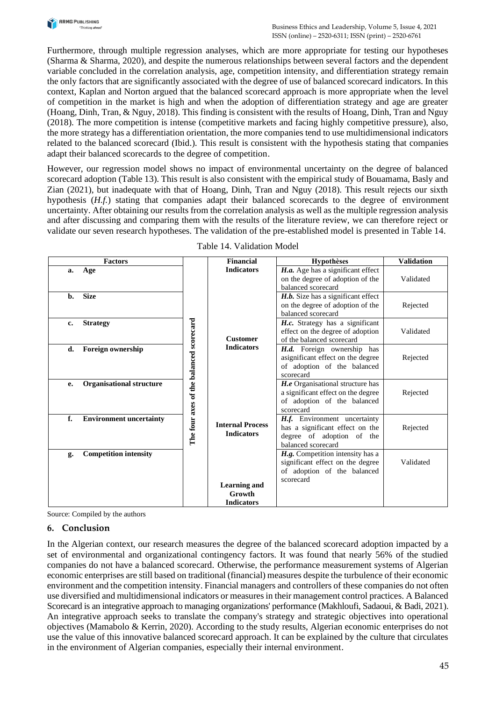

Furthermore, through multiple regression analyses, which are more appropriate for testing our hypotheses (Sharma & Sharma, 2020), and despite the numerous relationships between several factors and the dependent variable concluded in the correlation analysis, age, competition intensity, and differentiation strategy remain the only factors that are significantly associated with the degree of use of balanced scorecard indicators. In this context, Kaplan and Norton argued that the balanced scorecard approach is more appropriate when the level of competition in the market is high and when the adoption of differentiation strategy and age are greater (Hoang, Dinh, Tran, & Nguy, 2018). This finding is consistent with the results of Hoang, Dinh, Tran and Nguy (2018). The more competition is intense (competitive markets and facing highly competitive pressure), also, the more strategy has a differentiation orientation, the more companies tend to use multidimensional indicators related to the balanced scorecard (Ibid.). This result is consistent with the hypothesis stating that companies adapt their balanced scorecards to the degree of competition.

However, our regression model shows no impact of environmental uncertainty on the degree of balanced scorecard adoption (Table 13). This result is also consistent with the empirical study of Bouamama, Basly and Zian (2021), but inadequate with that of Hoang, Dinh, Tran and Nguy (2018). This result rejects our sixth hypothesis (*H.f.*) stating that companies adapt their balanced scorecards to the degree of environment uncertainty. After obtaining our results from the correlation analysis as well as the multiple regression analysis and after discussing and comparing them with the results of the literature review, we can therefore reject or validate our seven research hypotheses. The validation of the pre-established model is presented in Table 14.

| <b>Factors</b>                          | Financial               | <b>Hypothèses</b>                  | <b>Validation</b> |
|-----------------------------------------|-------------------------|------------------------------------|-------------------|
| Age<br>a.                               | <b>Indicators</b>       | H.a. Age has a significant effect  |                   |
|                                         |                         | on the degree of adoption of the   | Validated         |
|                                         |                         | balanced scorecard                 |                   |
| <b>Size</b><br>b.                       |                         | H.b. Size has a significant effect |                   |
|                                         |                         | on the degree of adoption of the   | Rejected          |
|                                         |                         | balanced scorecard                 |                   |
| <b>Strategy</b><br>c.                   |                         | H.c. Strategy has a significant    |                   |
|                                         |                         | effect on the degree of adoption   | Validated         |
|                                         | <b>Customer</b>         | of the balanced scorecard          |                   |
| <b>Foreign ownership</b><br>d.          | <b>Indicators</b>       | H.d. Foreign ownership has         |                   |
|                                         |                         | asignificant effect on the degree  | Rejected          |
|                                         |                         | of adoption of the balanced        |                   |
| The four axes of the balanced scorecard |                         | scorecard                          |                   |
| <b>Organisational structure</b><br>e.   |                         | H.e Organisational structure has   |                   |
|                                         |                         | a significant effect on the degree | Rejected          |
|                                         |                         | of adoption of the balanced        |                   |
|                                         |                         | scorecard                          |                   |
| f.<br><b>Environment uncertainty</b>    | <b>Internal Process</b> | H.f. Environment uncertainty       |                   |
|                                         | <b>Indicators</b>       | has a significant effect on the    | Rejected          |
|                                         |                         | degree of adoption of the          |                   |
|                                         |                         | balanced scorecard                 |                   |
| <b>Competition intensity</b><br>g.      |                         | H.g. Competition intensity has a   |                   |
|                                         |                         | significant effect on the degree   | Validated         |
|                                         |                         | of adoption of the balanced        |                   |
|                                         | <b>Learning and</b>     | scorecard                          |                   |
|                                         | Growth                  |                                    |                   |
|                                         | <b>Indicators</b>       |                                    |                   |

Table 14. Validation Model

Source: Compiled by the authors

## **6. Conclusion**

In the Algerian context, our research measures the degree of the balanced scorecard adoption impacted by a set of environmental and organizational contingency factors. It was found that nearly 56% of the studied companies do not have a balanced scorecard. Otherwise, the performance measurement systems of Algerian economic enterprises are still based on traditional (financial) measures despite the turbulence of their economic environment and the competition intensity. Financial managers and controllers of these companies do not often use diversified and multidimensional indicators or measures in their management control practices. A Balanced Scorecard is an integrative approach to managing organizations' performance (Makhloufi, Sadaoui, & Badi, 2021). An integrative approach seeks to translate the company's strategy and strategic objectives into operational objectives (Mamabolo & Kerrin, 2020). According to the study results, Algerian economic enterprises do not use the value of this innovative balanced scorecard approach. It can be explained by the culture that circulates in the environment of Algerian companies, especially their internal environment.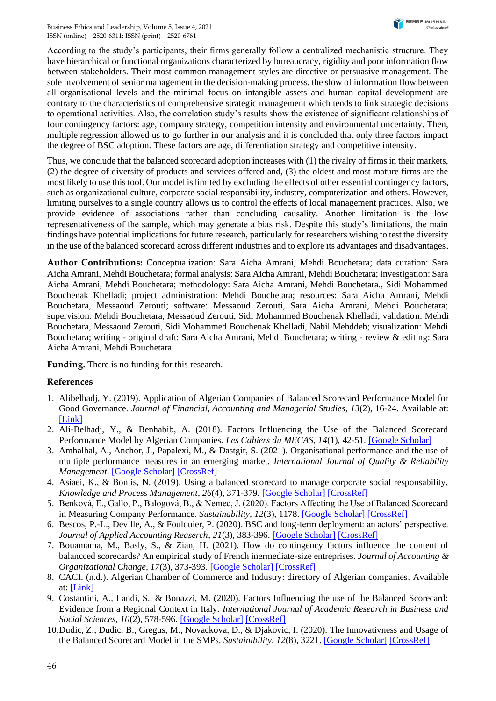According to the study's participants, their firms generally follow a centralized mechanistic structure. They have hierarchical or functional organizations characterized by bureaucracy, rigidity and poor information flow between stakeholders. Their most common management styles are directive or persuasive management. The sole involvement of senior management in the decision-making process, the slow of information flow between all organisational levels and the minimal focus on intangible assets and human capital development are contrary to the characteristics of comprehensive strategic management which tends to link strategic decisions to operational activities. Also, the correlation study's results show the existence of significant relationships of four contingency factors: age, company strategy, competition intensity and environmental uncertainty. Then, multiple regression allowed us to go further in our analysis and it is concluded that only three factors impact the degree of BSC adoption. These factors are age, differentiation strategy and competitive intensity.

Thus, we conclude that the balanced scorecard adoption increases with (1) the rivalry of firms in their markets, (2) the degree of diversity of products and services offered and, (3) the oldest and most mature firms are the most likely to use this tool. Our model is limited by excluding the effects of other essential contingency factors, such as organizational culture, corporate social responsibility, industry, computerization and others. However, limiting ourselves to a single country allows us to control the effects of local management practices. Also, we provide evidence of associations rather than concluding causality. Another limitation is the low representativeness of the sample, which may generate a bias risk. Despite this study's limitations, the main findings have potential implications for future research, particularly for researchers wishing to test the diversity in the use of the balanced scorecard across different industries and to explore its advantages and disadvantages.

**Author Contributions:** Conceptualization: Sara Aicha Amrani, Mehdi Bouchetara; data curation: Sara Aicha Amrani, Mehdi Bouchetara; formal analysis: Sara Aicha Amrani, Mehdi Bouchetara; investigation: Sara Aicha Amrani, Mehdi Bouchetara; methodology: Sara Aicha Amrani, Mehdi Bouchetara., Sidi Mohammed Bouchenak Khelladi; project administration: Mehdi Bouchetara; resources: Sara Aicha Amrani, Mehdi Bouchetara, Messaoud Zerouti; software: Messaoud Zerouti, Sara Aicha Amrani, Mehdi Bouchetara; supervision: Mehdi Bouchetara, Messaoud Zerouti, Sidi Mohammed Bouchenak Khelladi; validation: Mehdi Bouchetara, Messaoud Zerouti, Sidi Mohammed Bouchenak Khelladi, Nabil Mehddeb; visualization: Mehdi Bouchetara; writing - original draft: Sara Aicha Amrani, Mehdi Bouchetara; writing - review & editing: Sara Aicha Amrani, Mehdi Bouchetara.

**Funding.** There is no funding for this research.

## **References**

- 1. Alibelhadj, Y. (2019). Application of Algerian Companies of Balanced Scorecard Performance Model for Good Governance. *Journal of Financial, Accounting and Managerial Studies*, *13*(2), 16-24. Available at: [\[Link\]](https://www.asjp.cerist.dz/en/article/40966)
- 2. Ali-Belhadj, Y., & Benhabib, A. (2018). Factors Influencing the Use of the Balanced Scorecard Performance Model by Algerian Companies. *Les Cahiers du MECAS*, *14*(1), 42-51. [\[Google Scholar\]](https://scholar.google.com.ua/scholar?hl=uk&as_sdt=0%2C5&q=2.%09Ali-Belhadj%2C+Y.%2C+%26+Benhabib%2C+A.+%282018%29.+Factors+Influencing+the+Use+of+the+Balanced+Scorecard+Performance+Model+by+Algerian+Companies&btnG=)
- 3. Amhalhal, A., Anchor, J., Papalexi, M., & Dastgir, S. (2021). Organisational performance and the use of multiple performance measures in an emerging market. *International Journal of Quality & Reliability Management*. [\[Google Scholar\]](https://scholar.google.com.ua/scholar?hl=uk&as_sdt=0%2C5&q=3.%09Amhalhal%2C+A.%2C+Anchor%2C+J.%2C+Papalexi%2C+M.%2C+%26+Dastgir%2C+S.+%282021%29.+Organisational+performance+and+the+use+of+multiple+performance+measures+in+an+emerging+market.+International+Journal+of+Quality+%26+Reliability+Management&btnG=) [\[CrossRef\]](https://doi.org/10.1108/ijqrm-04-2019-0107)
- 4. Asiaei, K., & Bontis, N. (2019). Using a balanced scorecard to manage corporate social responsability. *Knowledge and Process Management*, *26*(4), 371-379. [\[Google Scholar\]](https://scholar.google.com.ua/scholar?hl=uk&as_sdt=0%2C5&q=Using+a+balanced+scorecard+to+manage+corporate+social+responsability.+Knowledge+and+Process+Management&btnG=) [\[CrossRef\]](https://doi.org/10.1002/kpm.1616)
- 5. Benková, E., Gallo, P., Balogová, B., & Nemec, J. (2020). Factors Affecting the Use of Balanced Scorecard in Measuring Company Performance. *Sustainability*, 12(3), 1178. [\[Google Scholar\]](https://scholar.google.com.ua/scholar?hl=uk&as_sdt=0%2C5&q=5.%09Benkov%C3%A1%2C+E.%2C+Gallo%2C+P.%2C+Balogov%C3%A1%2C+B.%2C+%26+Nemec%2C+J.+%282020%29.+Factors+Affecting+the+Use+of+Balanced+Scorecard+in+Measuring+Company+Performance&btnG=) [\[CrossRef\]](https://doi.org/10.3390/su12031178)
- 6. Bescos, P.-L., Deville, A., & Foulquier, P. (2020). BSC and long-term deployment: an actors' perspective. *Journal of Applied Accounting Reaserch*, *21*(3), 383-396. [\[Google Scholar\]](https://scholar.google.com.ua/scholar?hl=uk&as_sdt=0%2C5&q=6.%09Bescos%2C+P.-L.%2C+Deville%2C+A.%2C+%26+Foulquier%2C+P.+%282020%29.+BSC+and+long-term+deployment%3A+an+actors%E2%80%99+perspective&btnG=) [\[CrossRef\]](https://doi.org/10.1108/jaar-01-2019-0017)
- 7. Bouamama, M., Basly, S., & Zian, H. (2021). How do contingency factors influence the content of balancced scorecards? An empirical study of French inermediate-size entreprises. *Journal of Accounting & Organizational Change, 17*(3), 373-393. [\[Google Scholar\]](https://scholar.google.com.ua/scholar?hl=uk&as_sdt=0%2C5&q=How+do+contingency+factors+influence+the+content+of+balancced+scorecards%3F+An+empirical+study+of+French+inermediate-size+entreprises&btnG=) [\[CrossRef\]](https://doi.org/10.1108/jaoc-04-2020-0048)
- 8. CACI. (n.d.). Algerian Chamber of Commerce and Industry: directory of Algerian companies. Available at: [\[Link\]](http://elmouchir.caci.dz/index.php)
- 9. Costantini, A., Landi, S., & Bonazzi, M. (2020). Factors Influencing the use of the Balanced Scorecard: Evidence from a Regional Context in Italy. *International Journal of Academic Research in Business and Social Sciences*, *10*(2), 578-596. [\[Google Scholar\]](https://scholar.google.com.ua/scholar?hl=uk&as_sdt=0%2C5&q=Factors+Influencing+the+use+of+the+Balanced+Scorecard%3A+Evidence+from+a+Regional+Context+in+Italy&btnG=) [\[CrossRef\]](https://doi.org/10.6007/ijarbss/v10-i2/6951)
- 10.Dudic, Z., Dudic, B., Gregus, M., Novackova, D., & Djakovic, I. (2020). The Innovativness and Usage of the Balanced Scorecard Model in the SMPs. *Sustainibility*, *12*(8), 3221. [\[Google Scholar\]](https://scholar.google.com.ua/scholar?hl=uk&as_sdt=0%2C5&q=10.%09Dudic%2C+Z.%2C+Dudic%2C+B.%2C+Gregus%2C+M.%2C+Novackova%2C+D.%2C+%26+Djakovic%2C+I.+%282020%29.+The+Innovativness+and+Usage+of+the+Balanced+Scorecard+Model+in+the+SMPs&btnG=) [\[CrossRef\]](https://doi.org/10.3390/su12083221)